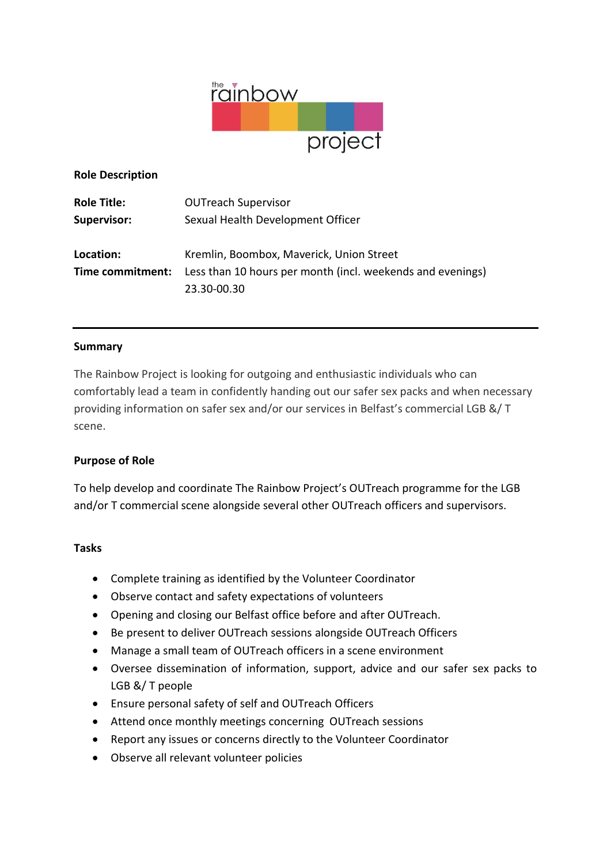

**Role Description**

| <b>Role Title:</b> | <b>OUTreach Supervisor</b>                                 |
|--------------------|------------------------------------------------------------|
| <b>Supervisor:</b> | Sexual Health Development Officer                          |
|                    |                                                            |
| Location:          | Kremlin, Boombox, Maverick, Union Street                   |
| Time commitment:   | Less than 10 hours per month (incl. weekends and evenings) |
|                    | 23.30-00.30                                                |

### **Summary**

The Rainbow Project is looking for outgoing and enthusiastic individuals who can comfortably lead a team in confidently handing out our safer sex packs and when necessary providing information on safer sex and/or our services in Belfast's commercial LGB &/ T scene.

## **Purpose of Role**

To help develop and coordinate The Rainbow Project's OUTreach programme for the LGB and/or T commercial scene alongside several other OUTreach officers and supervisors.

#### **Tasks**

- Complete training as identified by the Volunteer Coordinator
- Observe contact and safety expectations of volunteers
- Opening and closing our Belfast office before and after OUTreach.
- Be present to deliver OUTreach sessions alongside OUTreach Officers
- Manage a small team of OUTreach officers in a scene environment
- Oversee dissemination of information, support, advice and our safer sex packs to LGB &/ T people
- Ensure personal safety of self and OUTreach Officers
- Attend once monthly meetings concerning OUTreach sessions
- Report any issues or concerns directly to the Volunteer Coordinator
- Observe all relevant volunteer policies